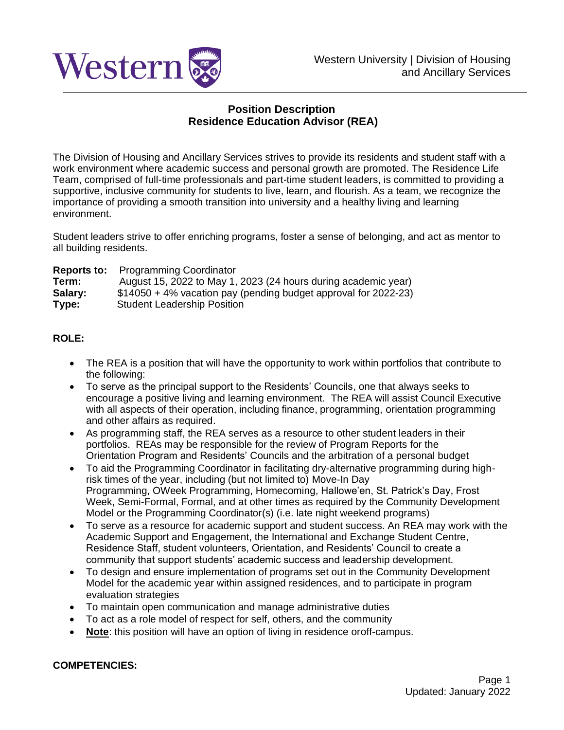

## **Position Description Residence Education Advisor (REA)**

The Division of Housing and Ancillary Services strives to provide its residents and student staff with a work environment where academic success and personal growth are promoted. The Residence Life Team, comprised of full-time professionals and part-time student leaders, is committed to providing a supportive, inclusive community for students to live, learn, and flourish. As a team, we recognize the importance of providing a smooth transition into university and a healthy living and learning environment.

Student leaders strive to offer enriching programs, foster a sense of belonging, and act as mentor to all building residents.

|         | <b>Reports to:</b> Programming Coordinator                      |
|---------|-----------------------------------------------------------------|
| Term:   | August 15, 2022 to May 1, 2023 (24 hours during academic year)  |
| Salary: | \$14050 + 4% vacation pay (pending budget approval for 2022-23) |
| Type:   | <b>Student Leadership Position</b>                              |

### **ROLE:**

- The REA is a position that will have the opportunity to work within portfolios that contribute to the following:
- To serve as the principal support to the Residents' Councils, one that always seeks to encourage a positive living and learning environment. The REA will assist Council Executive with all aspects of their operation, including finance, programming, orientation programming and other affairs as required.
- As programming staff, the REA serves as a resource to other student leaders in their portfolios. REAs may be responsible for the review of Program Reports for the Orientation Program and Residents' Councils and the arbitration of a personal budget
- To aid the Programming Coordinator in facilitating dry-alternative programming during highrisk times of the year, including (but not limited to) Move-In Day Programming, OWeek Programming, Homecoming, Hallowe'en, St. Patrick's Day, Frost Week, Semi-Formal, Formal, and at other times as required by the Community Development Model or the Programming Coordinator(s) (i.e. late night weekend programs)
- To serve as a resource for academic support and student success. An REA may work with the Academic Support and Engagement, the International and Exchange Student Centre, Residence Staff, student volunteers, Orientation, and Residents' Council to create a community that support students' academic success and leadership development.
- To design and ensure implementation of programs set out in the Community Development Model for the academic year within assigned residences, and to participate in program evaluation strategies
- To maintain open communication and manage administrative duties
- To act as a role model of respect for self, others, and the community
- **Note**: this position will have an option of living in residence oroff-campus.

#### **COMPETENCIES:**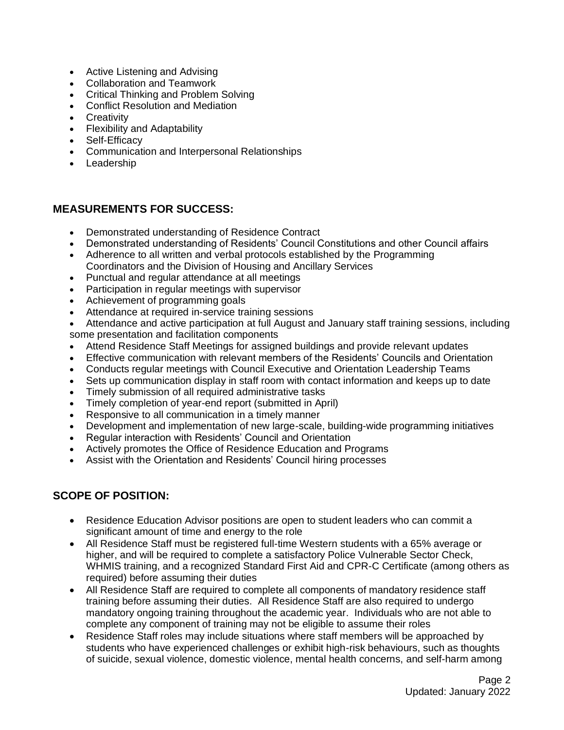- Active Listening and Advising
- Collaboration and Teamwork
- Critical Thinking and Problem Solving
- Conflict Resolution and Mediation
- Creativity
- Flexibility and Adaptability
- Self-Efficacy
- Communication and Interpersonal Relationships
- Leadership

## **MEASUREMENTS FOR SUCCESS:**

- Demonstrated understanding of Residence Contract
- Demonstrated understanding of Residents' Council Constitutions and other Council affairs
- Adherence to all written and verbal protocols established by the Programming Coordinators and the Division of Housing and Ancillary Services
- Punctual and regular attendance at all meetings
- Participation in regular meetings with supervisor
- Achievement of programming goals
- Attendance at required in-service training sessions
- Attendance and active participation at full August and January staff training sessions, including some presentation and facilitation components
- Attend Residence Staff Meetings for assigned buildings and provide relevant updates
- Effective communication with relevant members of the Residents' Councils and Orientation
- Conducts regular meetings with Council Executive and Orientation Leadership Teams
- Sets up communication display in staff room with contact information and keeps up to date
- Timely submission of all required administrative tasks
- Timely completion of year-end report (submitted in April)
- Responsive to all communication in a timely manner
- Development and implementation of new large-scale, building-wide programming initiatives
- Regular interaction with Residents' Council and Orientation
- Actively promotes the Office of Residence Education and Programs
- Assist with the Orientation and Residents' Council hiring processes

# **SCOPE OF POSITION:**

- Residence Education Advisor positions are open to student leaders who can commit a significant amount of time and energy to the role
- All Residence Staff must be registered full-time Western students with a 65% average or higher, and will be required to complete a satisfactory Police Vulnerable Sector Check, WHMIS training, and a recognized Standard First Aid and CPR-C Certificate (among others as required) before assuming their duties
- All Residence Staff are required to complete all components of mandatory residence staff training before assuming their duties. All Residence Staff are also required to undergo mandatory ongoing training throughout the academic year. Individuals who are not able to complete any component of training may not be eligible to assume their roles
- Residence Staff roles may include situations where staff members will be approached by students who have experienced challenges or exhibit high-risk behaviours, such as thoughts of suicide, sexual violence, domestic violence, mental health concerns, and self-harm among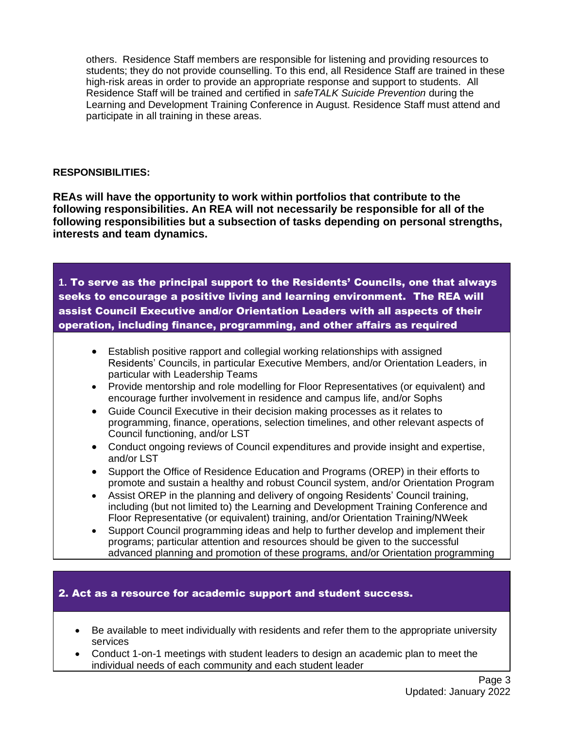others. Residence Staff members are responsible for listening and providing resources to students; they do not provide counselling. To this end, all Residence Staff are trained in these high-risk areas in order to provide an appropriate response and support to students. All Residence Staff will be trained and certified in *safeTALK Suicide Prevention* during the Learning and Development Training Conference in August. Residence Staff must attend and participate in all training in these areas.

#### **RESPONSIBILITIES:**

**REAs will have the opportunity to work within portfolios that contribute to the following responsibilities. An REA will not necessarily be responsible for all of the following responsibilities but a subsection of tasks depending on personal strengths, interests and team dynamics.**

**1.** To serve as the principal support to the Residents' Councils, one that always seeks to encourage a positive living and learning environment. The REA will assist Council Executive and/or Orientation Leaders with all aspects of their operation, including finance, programming, and other affairs as required

- Establish positive rapport and collegial working relationships with assigned Residents' Councils, in particular Executive Members, and/or Orientation Leaders, in particular with Leadership Teams
- Provide mentorship and role modelling for Floor Representatives (or equivalent) and encourage further involvement in residence and campus life, and/or Sophs
- Guide Council Executive in their decision making processes as it relates to programming, finance, operations, selection timelines, and other relevant aspects of Council functioning, and/or LST
- Conduct ongoing reviews of Council expenditures and provide insight and expertise. and/or LST
- Support the Office of Residence Education and Programs (OREP) in their efforts to promote and sustain a healthy and robust Council system, and/or Orientation Program
- Assist OREP in the planning and delivery of ongoing Residents' Council training, including (but not limited to) the Learning and Development Training Conference and Floor Representative (or equivalent) training, and/or Orientation Training/NWeek
- Support Council programming ideas and help to further develop and implement their programs; particular attention and resources should be given to the successful advanced planning and promotion of these programs, and/or Orientation programming

### 2. Act as a resource for academic support and student success.

- Be available to meet individually with residents and refer them to the appropriate university services
- Conduct 1-on-1 meetings with student leaders to design an academic plan to meet the individual needs of each community and each student leader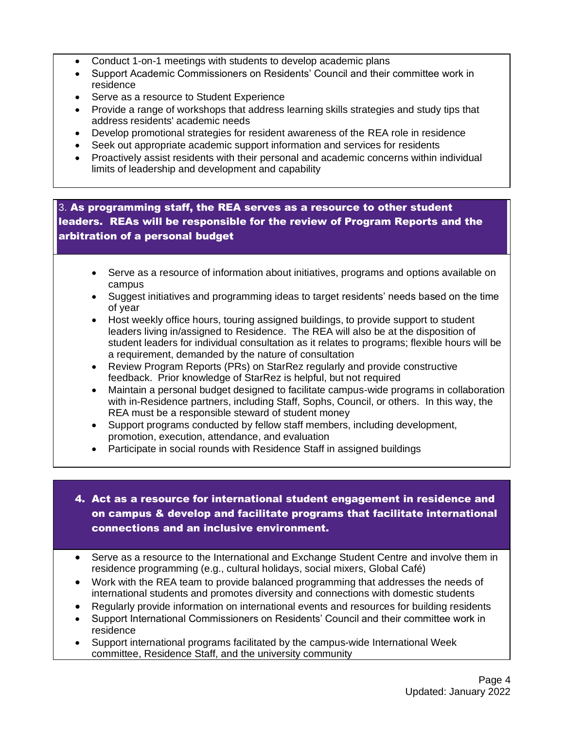- Conduct 1-on-1 meetings with students to develop academic plans
- Support Academic Commissioners on Residents' Council and their committee work in residence
- Serve as a resource to Student Experience
- Provide a range of workshops that address learning skills strategies and study tips that address residents' academic needs
- Develop promotional strategies for resident awareness of the REA role in residence
- Seek out appropriate academic support information and services for residents
- Proactively assist residents with their personal and academic concerns within individual limits of leadership and development and capability

## 3. As programming staff, the REA serves as a resource to other student leaders. REAs will be responsible for the review of Program Reports and the arbitration of a personal budget

- Serve as a resource of information about initiatives, programs and options available on campus
- Suggest initiatives and programming ideas to target residents' needs based on the time of year
- Host weekly office hours, touring assigned buildings, to provide support to student leaders living in/assigned to Residence. The REA will also be at the disposition of student leaders for individual consultation as it relates to programs; flexible hours will be a requirement, demanded by the nature of consultation
- Review Program Reports (PRs) on StarRez regularly and provide constructive feedback. Prior knowledge of StarRez is helpful, but not required
- Maintain a personal budget designed to facilitate campus-wide programs in collaboration with in-Residence partners, including Staff, Sophs, Council, or others. In this way, the REA must be a responsible steward of student money
- Support programs conducted by fellow staff members, including development, promotion, execution, attendance, and evaluation
- Participate in social rounds with Residence Staff in assigned buildings

## 4. Act as a resource for international student engagement in residence and on campus & develop and facilitate programs that facilitate international connections and an inclusive environment.

- Serve as a resource to the International and Exchange Student Centre and involve them in residence programming (e.g., cultural holidays, social mixers, Global Café)
- Work with the REA team to provide balanced programming that addresses the needs of international students and promotes diversity and connections with domestic students
- Regularly provide information on international events and resources for building residents
- Support International Commissioners on Residents' Council and their committee work in residence
- Support international programs facilitated by the campus-wide International Week committee, Residence Staff, and the university community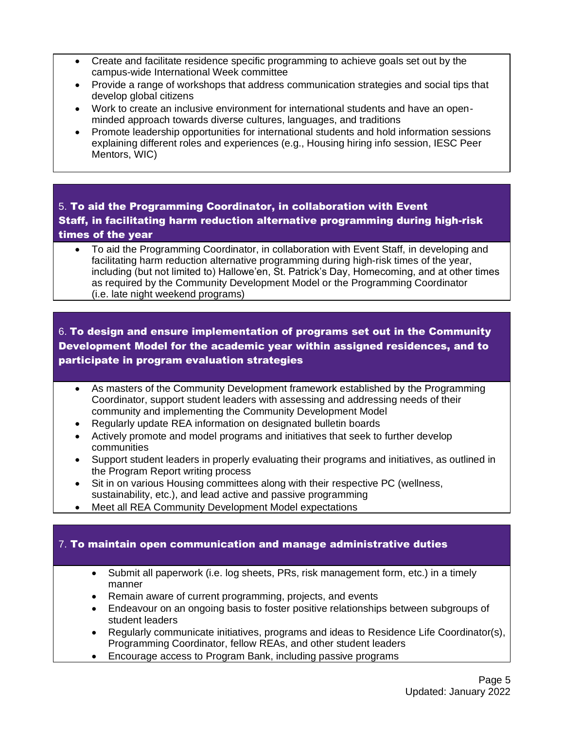- Create and facilitate residence specific programming to achieve goals set out by the campus-wide International Week committee
- Provide a range of workshops that address communication strategies and social tips that develop global citizens
- Work to create an inclusive environment for international students and have an openminded approach towards diverse cultures, languages, and traditions
- Promote leadership opportunities for international students and hold information sessions explaining different roles and experiences (e.g., Housing hiring info session, IESC Peer Mentors, WIC)

# 5. To aid the Programming Coordinator, in collaboration with Event Staff, in facilitating harm reduction alternative programming during high-risk times of the year

• To aid the Programming Coordinator, in collaboration with Event Staff, in developing and facilitating harm reduction alternative programming during high-risk times of the year, including (but not limited to) Hallowe'en, St. Patrick's Day, Homecoming, and at other times as required by the Community Development Model or the Programming Coordinator (i.e. late night weekend programs)

# 6. To design and ensure implementation of programs set out in the Community Development Model for the academic year within assigned residences, and to participate in program evaluation strategies

- As masters of the Community Development framework established by the Programming Coordinator, support student leaders with assessing and addressing needs of their community and implementing the Community Development Model
- Regularly update REA information on designated bulletin boards
- Actively promote and model programs and initiatives that seek to further develop communities
- Support student leaders in properly evaluating their programs and initiatives, as outlined in the Program Report writing process
- Sit in on various Housing committees along with their respective PC (wellness, sustainability, etc.), and lead active and passive programming
- Meet all REA Community Development Model expectations

### 7. To maintain open communication and manage administrative duties

- Submit all paperwork (i.e. log sheets, PRs, risk management form, etc.) in a timely manner
- Remain aware of current programming, projects, and events
- Endeavour on an ongoing basis to foster positive relationships between subgroups of student leaders
- Regularly communicate initiatives, programs and ideas to Residence Life Coordinator(s), Programming Coordinator, fellow REAs, and other student leaders
- Encourage access to Program Bank, including passive programs